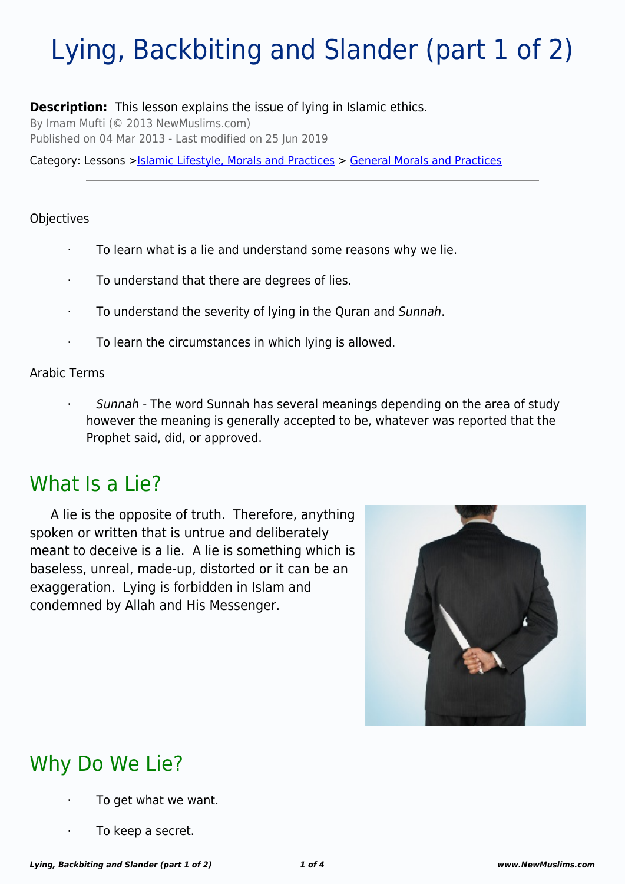# Lying, Backbiting and Slander (part 1 of 2)

#### **Description:** This lesson explains the issue of lying in Islamic ethics.

By Imam Mufti (© 2013 NewMuslims.com)

Published on 04 Mar 2013 - Last modified on 25 Jun 2019

Category: Lessons >[Islamic Lifestyle, Morals and Practices](http://www.newmuslims.com/category/133/) > [General Morals and Practices](http://www.newmuslims.com/category/153/)

#### Objectives

- · To learn what is a lie and understand some reasons why we lie.
- To understand that there are degrees of lies.
- · To understand the severity of lying in the Quran and Sunnah.
- · To learn the circumstances in which lying is allowed.

#### Arabic Terms

Sunnah - The word Sunnah has several meanings depending on the area of study however the meaning is generally accepted to be, whatever was reported that the Prophet said, did, or approved.

### What Is a Lie?

A lie is the opposite of truth. Therefore, anything spoken or written that is untrue and deliberately meant to deceive is a lie. A lie is something which is baseless, unreal, made-up, distorted or it can be an exaggeration. Lying is forbidden in Islam and condemned by Allah and His Messenger.



## Why Do We Lie?

- To get what we want.
- To keep a secret.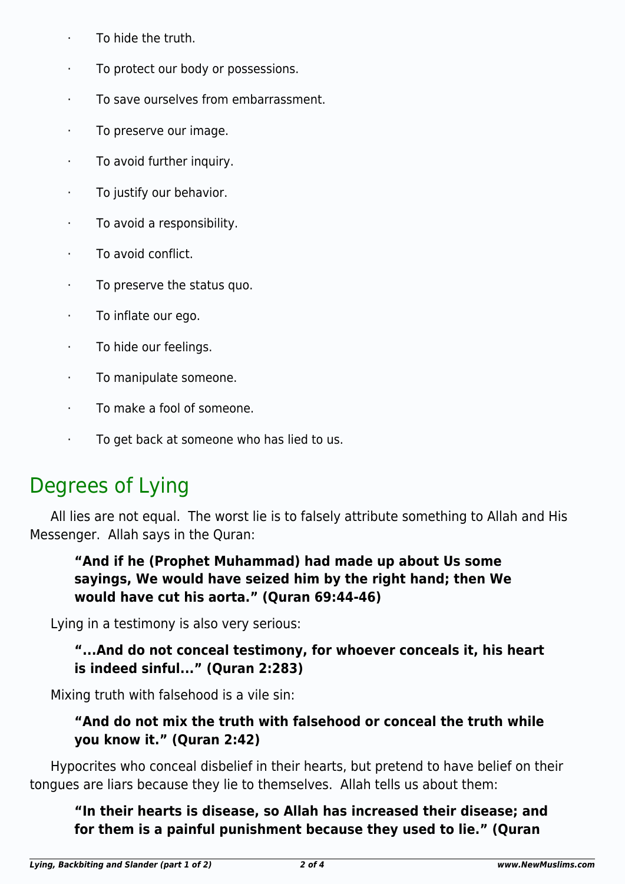- · To hide the truth.
- · To protect our body or possessions.
- To save ourselves from embarrassment.
- · To preserve our image.
- · To avoid further inquiry.
- To justify our behavior.
- · To avoid a responsibility.
- · To avoid conflict.
- · To preserve the status quo.
- · To inflate our ego.
- · To hide our feelings.
- · To manipulate someone.
- · To make a fool of someone.
- · To get back at someone who has lied to us.

### Degrees of Lying

All lies are not equal. The worst lie is to falsely attribute something to Allah and His Messenger. Allah says in the Quran:

### **"And if he (Prophet Muhammad) had made up about Us some sayings, We would have seized him by the right hand; then We would have cut his aorta." (Quran 69:44-46)**

Lying in a testimony is also very serious:

### **"...And do not conceal testimony, for whoever conceals it, his heart is indeed sinful..." (Quran 2:283)**

Mixing truth with falsehood is a vile sin:

### **"And do not mix the truth with falsehood or conceal the truth while you know it." (Quran 2:42)**

Hypocrites who conceal disbelief in their hearts, but pretend to have belief on their tongues are liars because they lie to themselves. Allah tells us about them:

**"In their hearts is disease, so Allah has increased their disease; and for them is a painful punishment because they used to lie." (Quran**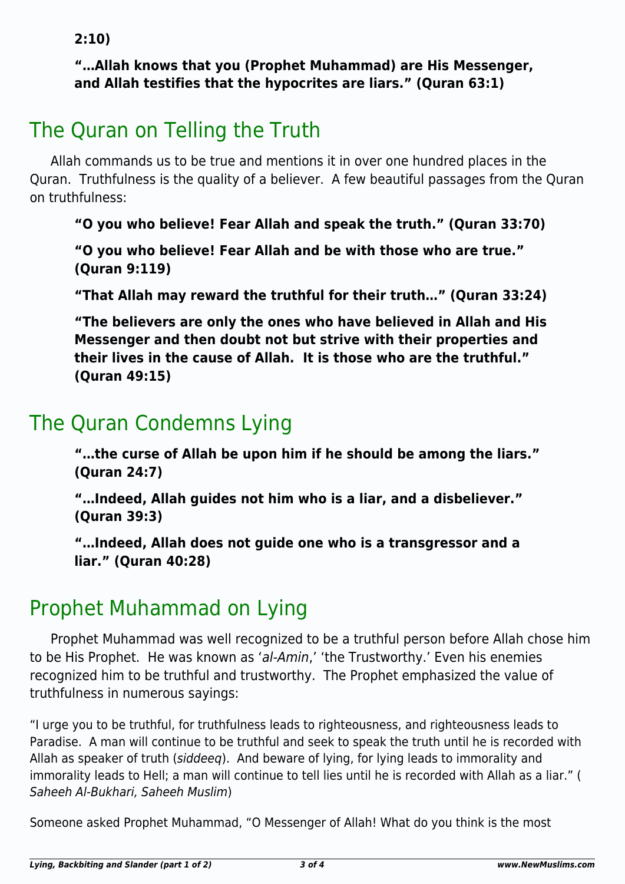**2:10)**

### **"…Allah knows that you (Prophet Muhammad) are His Messenger, and Allah testifies that the hypocrites are liars." (Quran 63:1)**

# The Quran on Telling the Truth

Allah commands us to be true and mentions it in over one hundred places in the Quran. Truthfulness is the quality of a believer. A few beautiful passages from the Quran on truthfulness:

**"O you who believe! Fear Allah and speak the truth." (Quran 33:70)**

**"O you who believe! Fear Allah and be with those who are true." (Quran 9:119)**

**"That Allah may reward the truthful for their truth…" (Quran 33:24)**

**"The believers are only the ones who have believed in Allah and His Messenger and then doubt not but strive with their properties and their lives in the cause of Allah. It is those who are the truthful." (Quran 49:15)**

### The Quran Condemns Lying

**"…the curse of Allah be upon him if he should be among the liars." (Quran 24:7)**

**"…Indeed, Allah guides not him who is a liar, and a disbeliever." (Quran 39:3)**

**"…Indeed, Allah does not guide one who is a transgressor and a liar." (Quran 40:28)**

## Prophet Muhammad on Lying

Prophet Muhammad was well recognized to be a truthful person before Allah chose him to be His Prophet. He was known as 'al-Amin,' 'the Trustworthy.' Even his enemies recognized him to be truthful and trustworthy. The Prophet emphasized the value of truthfulness in numerous sayings:

"I urge you to be truthful, for truthfulness leads to righteousness, and righteousness leads to Paradise. A man will continue to be truthful and seek to speak the truth until he is recorded with Allah as speaker of truth (siddeeq). And beware of lying, for lying leads to immorality and immorality leads to Hell; a man will continue to tell lies until he is recorded with Allah as a liar." ( Saheeh Al-Bukhari, Saheeh Muslim)

<span id="page-2-0"></span>Someone asked Prophet Muhammad, "O Messenger of Allah! What do you think is the most